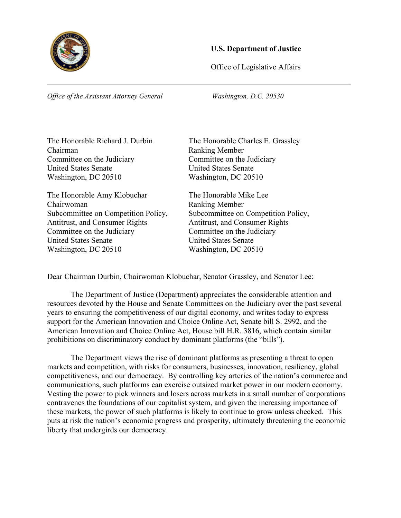

## **U.S. Department of Justice**

Office of Legislative Affairs

*Office of the Assistant Attorney General Washington, D.C. 20530*

Chairman<br>
Committee on the Judiciary<br>
Committee on the Judiciary<br>
Committee on the Judiciary Committee on the Judiciary United States Senate United States Senate Washington, DC 20510 Washington, DC 20510

The Honorable Amy Klobuchar The Honorable Mike Lee Chairwoman Ranking Member Antitrust, and Consumer Rights **Antitrust**, and Consumer Rights Committee on the Judiciary Committee on the Judiciary United States Senate United States Senate Washington, DC 20510 Washington, DC 20510

The Honorable Richard J. Durbin The Honorable Charles E. Grassley

Subcommittee on Competition Policy, Subcommittee on Competition Policy,

Dear Chairman Durbin, Chairwoman Klobuchar, Senator Grassley, and Senator Lee:

The Department of Justice (Department) appreciates the considerable attention and resources devoted by the House and Senate Committees on the Judiciary over the past several years to ensuring the competitiveness of our digital economy, and writes today to express support for the American Innovation and Choice Online Act, Senate bill S. 2992, and the American Innovation and Choice Online Act, House bill H.R. 3816, which contain similar prohibitions on discriminatory conduct by dominant platforms (the "bills").

The Department views the rise of dominant platforms as presenting a threat to open markets and competition, with risks for consumers, businesses, innovation, resiliency, global competitiveness, and our democracy. By controlling key arteries of the nation's commerce and communications, such platforms can exercise outsized market power in our modern economy. Vesting the power to pick winners and losers across markets in a small number of corporations contravenes the foundations of our capitalist system, and given the increasing importance of these markets, the power of such platforms is likely to continue to grow unless checked. This puts at risk the nation's economic progress and prosperity, ultimately threatening the economic liberty that undergirds our democracy.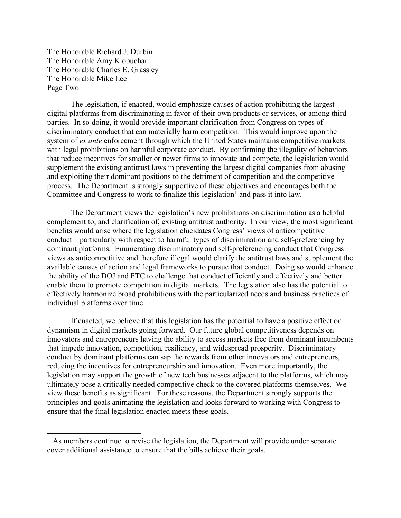The Honorable Richard J. Durbin The Honorable Amy Klobuchar The Honorable Charles E. Grassley The Honorable Mike Lee Page Two

The legislation, if enacted, would emphasize causes of action prohibiting the largest digital platforms from discriminating in favor of their own products or services, or among thirdparties. In so doing, it would provide important clarification from Congress on types of discriminatory conduct that can materially harm competition. This would improve upon the system of *ex ante* enforcement through which the United States maintains competitive markets with legal prohibitions on harmful corporate conduct. By confirming the illegality of behaviors that reduce incentives for smaller or newer firms to innovate and compete, the legislation would supplement the existing antitrust laws in preventing the largest digital companies from abusing and exploiting their dominant positions to the detriment of competition and the competitive process. The Department is strongly supportive of these objectives and encourages both the Committee and Congress to work to finalize this legislation<sup>[1](#page-1-0)</sup> and pass it into law.

The Department views the legislation's new prohibitions on discrimination as a helpful complement to, and clarification of, existing antitrust authority. In our view, the most significant benefits would arise where the legislation elucidates Congress' views of anticompetitive conduct—particularly with respect to harmful types of discrimination and self-preferencing by dominant platforms. Enumerating discriminatory and self-preferencing conduct that Congress views as anticompetitive and therefore illegal would clarify the antitrust laws and supplement the available causes of action and legal frameworks to pursue that conduct. Doing so would enhance the ability of the DOJ and FTC to challenge that conduct efficiently and effectively and better enable them to promote competition in digital markets. The legislation also has the potential to effectively harmonize broad prohibitions with the particularized needs and business practices of individual platforms over time.

If enacted, we believe that this legislation has the potential to have a positive effect on dynamism in digital markets going forward. Our future global competitiveness depends on innovators and entrepreneurs having the ability to access markets free from dominant incumbents that impede innovation, competition, resiliency, and widespread prosperity. Discriminatory conduct by dominant platforms can sap the rewards from other innovators and entrepreneurs, reducing the incentives for entrepreneurship and innovation. Even more importantly, the legislation may support the growth of new tech businesses adjacent to the platforms, which may ultimately pose a critically needed competitive check to the covered platforms themselves. We view these benefits as significant. For these reasons, the Department strongly supports the principles and goals animating the legislation and looks forward to working with Congress to ensure that the final legislation enacted meets these goals.

<span id="page-1-0"></span> $<sup>1</sup>$  As members continue to revise the legislation, the Department will provide under separate</sup> cover additional assistance to ensure that the bills achieve their goals.